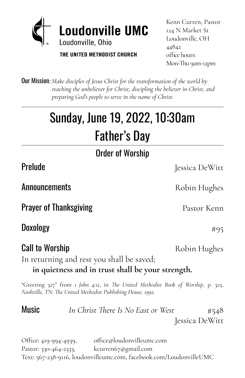

THE UNITED METHODIST CHURCH

Kenn Curren, Pastor 124 N Market St Loudonville, OH 44842 office hours: Mon-Thu 9am-12pm

Our Mission:*Make disciples of Jesus Christ for the transformation of the world by reaching the unbeliever for Christ, discipling the believer in Christ, and preparing God's people to serve in the name of Christ.*

# Sunday, June 19, 2022, 10:30am Father's Day

Order of Worship

Prelude **International Prelude** Jessica DeWitt

In returning and rest you shall be saved;

"Greeting 327" from *1 John 4:12*, in *The United Methodist Book of Worship*, p. 325, *Nashville, TN: The United Methodist Publishing House, 1992.*

**Music** *In Christ There Is No East or West*  $\#548$ Jessica DeWitt

Office: 419-994-4939, office@loudonvilleumc.com Pastor: 330-464-2333, kcurren67@gmail.com Text: 567-238-9116, loudonvilleumc.com, facebook.com/LoudonvilleUMC

Announcements Robin Hughes

**Prayer of Thanksgiving Exercise Server Accord Pastor Kenn** 

**Doxology**  $#95$ 

**Call to Worship Call to Worship Call to Worship** 

**in quietness and in trust shall be your strength.**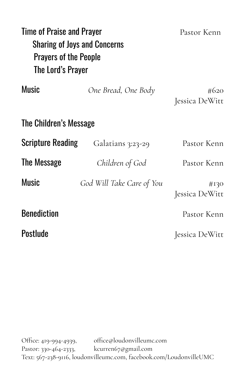| Time of Praise and Prayer<br><b>Sharing of Joys and Concerns</b><br><b>Prayers of the People</b><br>The Lord's Prayer |                           | Pastor Kenn            |  |  |  |
|-----------------------------------------------------------------------------------------------------------------------|---------------------------|------------------------|--|--|--|
| <b>Music</b>                                                                                                          | One Bread, One Body       | #620<br>Jessica DeWitt |  |  |  |
| The Children's Message                                                                                                |                           |                        |  |  |  |
| <b>Scripture Reading</b>                                                                                              | Galatians 3:23-29         | Pastor Kenn            |  |  |  |
| The Message                                                                                                           | Children of God           | Pastor Kenn            |  |  |  |
| Music                                                                                                                 | God Will Take Care of You | #130<br>Jessica DeWitt |  |  |  |
| <b>Benediction</b>                                                                                                    |                           | Pastor Kenn            |  |  |  |
| Postlude                                                                                                              |                           | Jessica DeWitt         |  |  |  |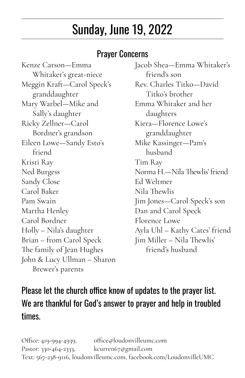## Sunday, June 19, 2022

#### Prayer Concerns

Kenze Carson—Emma Whitaker's great-niece Meggin Kraft—Carol Speck's granddaughter Mary Warbel—Mike and Sally's daughter Ricky Zellner—Carol Bordner's grandson Eileen Lowe—Sandy Esto's friend Kristi Ray Tim Ray Sandy Close Ed Weltmer Carol Baker Nila Thewlis Pam Swain Jim Jones—Carol Speck's son Martha Henley Dan and Carol Speck Carol Bordner Florence Lowe Brian – from Carol Speck The family of Jean Hughes John & Lucy Ullman – Sharon Brewer's parents

Jacob Shea—Emma Whitaker's friend's son Rev. Charles Titko—David Titko's brother Emma Whitaker and her daughters Kiera—Florence Lowe's granddaughter Mike Kassinger—Pam's husband Ned Burgess Norma H.—Nila Thewlis' friend Holly – Nila's daughter Ayla Uhl – Kathy Cates' friend Jim Miller – Nila Thewlis' friend's husband

#### Please let the church office know of updates to the prayer list. We are thankful for God's answer to prayer and help in troubled times.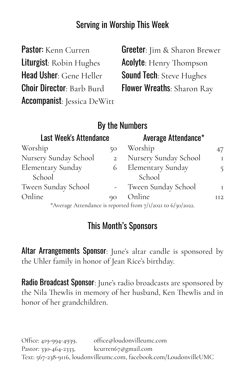#### Serving in Worship This Week

| Pastor: Kenn Curren                | <b>Greeter:</b> Jim & Sharon Brewer |
|------------------------------------|-------------------------------------|
| Liturgist: Robin Hughes            | <b>Acolyte:</b> Henry Thompson      |
| Head Usher: Gene Heller            | <b>Sound Tech: Steve Hughes</b>     |
| <b>Choir Director: Barb Burd</b>   | <b>Flower Wreaths: Sharon Ray</b>   |
| <b>Accompanist:</b> Jessica DeWitt |                                     |

|                               |                | By the Numbers                                              |     |
|-------------------------------|----------------|-------------------------------------------------------------|-----|
| <b>Last Week's Attendance</b> |                | Average Attendance*                                         |     |
| Worship                       | 50             | Worship                                                     | 47  |
| Nursery Sunday School         | $\overline{2}$ | Nursery Sunday School                                       | T   |
| <b>Elementary Sunday</b>      | 6              | <b>Elementary Sunday</b>                                    |     |
| School                        |                | School                                                      |     |
| Tween Sunday School           |                | Tween Sunday School                                         | T   |
| Online                        | 90             | Online                                                      | IT2 |
|                               |                | *Average Attendance is reported from 7/1/2021 to 6/30/2022. |     |

#### This Month's Sponsors

Altar Arrangements Sponsor: June's altar candle is sponsored by the Uhler family in honor of Jean Rice's birthday.

**Radio Broadcast Sponsor:** June's radio broadcasts are sponsored by the Nila Thewlis in memory of her husband, Ken Thewlis and in honor of her grandchildren.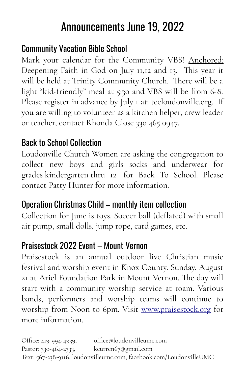### Announcements June 19, 2022

#### Community Vacation Bible School

Mark your calendar for the Community VBS! Anchored: Deepening Faith in God on July 11,12 and 13. This year it will be held at Trinity Community Church. There will be a light "kid-friendly" meal at 5:30 and VBS will be from 6-8. Please register in advance by July I at: tccloudonville.org. If you are willing to volunteer as a kitchen helper, crew leader or teacher, contact Rhonda Close 330 465 0947.

#### Back to School Collection

Loudonville Church Women are asking the congregation to collect new boys and girls socks and underwear for grades kindergarten thru 12 for Back To School. Please contact Patty Hunter for more information.

#### Operation Christmas Child – monthly item collection

Collection for June is toys. Soccer ball (deflated) with small air pump, small dolls, jump rope, card games, etc.

#### Praisestock 2022 Event – Mount Vernon

Praisestock is an annual outdoor live Christian music festival and worship event in Knox County. Sunday, August 21 at Ariel Foundation Park in Mount Vernon. The day will start with a community worship service at 10am. Various bands, performers and worship teams will continue to worship from Noon to 6pm. Visit [www.praisestock.org](http://www.praisestock.org/) for more information.